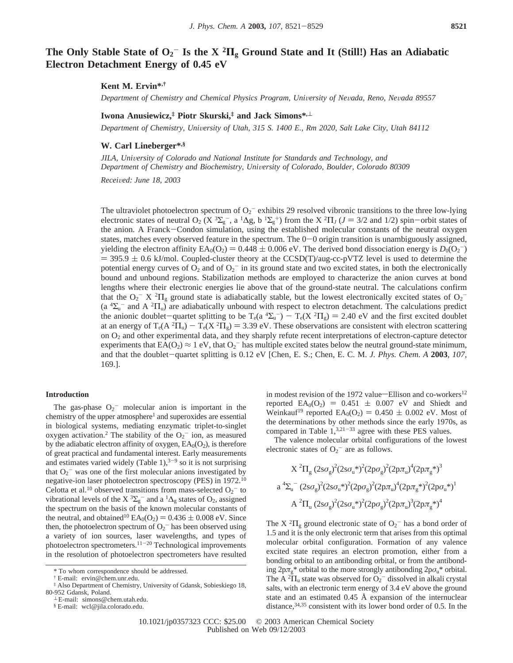# **The Only Stable State of O2** - **Is the X <sup>2</sup>Π<sup>g</sup> Ground State and It (Still!) Has an Adiabatic Electron Detachment Energy of 0.45 eV**

#### **Kent M. Ervin\*,†**

*Department of Chemistry and Chemical Physics Program, Uni*V*ersity of Ne*V*ada, Reno, Ne*V*ada 89557*

## **Iwona Anusiewicz,‡ Piotr Skurski,‡ and Jack Simons\*,**<sup>⊥</sup>

*Department of Chemistry, University of Utah, 315 S. 1400 E., Rm 2020, Salt Lake City, Utah 84112* 

#### **W. Carl Lineberger\*,§**

*JILA, Uni*V*ersity of Colorado and National Institute for Standards and Technology, and Department of Chemistry and Biochemistry, Uni*V*ersity of Colorado, Boulder, Colorado 80309*

*Recei*V*ed: June 18, 2003*

The ultraviolet photoelectron spectrum of  $O_2$ <sup>-</sup> exhibits 29 resolved vibronic transitions to the three low-lying electronic states of neutral O<sub>2</sub> ( $X^3\Sigma_g^-$ , a <sup>1</sup> $\Delta g$ , b <sup>1</sup> $\Sigma_g^+$ ) from the X<sup>2</sup> $\Pi_J$  ( $J = 3/2$  and 1/2) spin-orbit states of the anion. A Franck-Condon simulation, using the established molecular constants of the ne the anion. A Franck-Condon simulation, using the established molecular constants of the neutral oxygen states, matches every observed feature in the spectrum. The  $0-0$  origin transition is unambiguously assigned, yielding the electron affinity  $EA_0(O_2) = 0.448 \pm 0.006$  eV. The derived bond dissociation energy is  $D_0(O_2^-)$ <br>= 395.9 + 0.6 kV mol. Counled-cluster theory at the CCSD (T)/aug-cc-pVTZ level is used to determine the  $=$  395.9  $\pm$  0.6 kJ/mol. Coupled-cluster theory at the CCSD(T)/aug-cc-pVTZ level is used to determine the potential energy curves of  $O_2$  and of  $O_2^-$  in its ground state and two excited states, in both the electronically bound and unbound regions. Stabilization methods are employed to characterize the anion curves at bond lengths where their electronic energies lie above that of the ground-state neutral. The calculations confirm that the  $O_2$ <sup>-</sup> X  ${}^2\Pi_g$  ground state is adiabatically stable, but the lowest electronically excited states of  $O_2$ <sup>-</sup> (a  $^4\Sigma_u^-$  and A  $^2\Pi_u$ ) are adiabatically unbound with respect to electron detachment. The calculations predict the anionic doublet-quartet splitting to be  $T_e(a^4\Sigma_u^-) - T_e(X^2\Pi_g) = 2.40$  eV and the first excited doublet at an energy of  $T(A^2\Pi) - T(X^2\Pi) = 3.39$  eV. These observations are consistent with electron scattering at an energy of  $T_e(A^2\Pi_u) - T_e(X^2\Pi_g) = 3.39$  eV. These observations are consistent with electron scattering<br>on  $\Omega_2$  and other experimental data, and they sharply refute recent interpretations of electron-capture detector on O2 and other experimental data, and they sharply refute recent interpretations of electron-capture detector experiments that  $EA(O_2) \approx 1$  eV, that  $O_2^-$  has multiple excited states below the neutral ground-state minimum, and that the doublet-quartet splitting is 0.12 eV [Chen, E. S.; Chen, E. C. M. *J. Phys. Chem. A* **<sup>2003</sup>**, *<sup>107</sup>*, 169.].

#### **Introduction**

The gas-phase  $O_2$ <sup>-</sup> molecular anion is important in the chemistry of the upper atmosphere<sup>1</sup> and superoxides are essential in biological systems, mediating enzymatic triplet-to-singlet oxygen activation.<sup>2</sup> The stability of the  $O_2$ <sup>-</sup> ion, as measured by the adiabatic electron affinity of oxygen,  $EA<sub>0</sub>(O<sub>2</sub>)$ , is therefore of great practical and fundamental interest. Early measurements and estimates varied widely (Table 1), $3-9$  so it is not surprising that  $O_2$ <sup>-</sup> was one of the first molecular anions investigated by negative-ion laser photoelectron spectroscopy (PES) in 1972.10 Celotta et al.<sup>10</sup> observed transitions from mass-selected  $O_2$ <sup>-</sup> to vibrational levels of the X<sup>3</sup> $\Sigma$ <sub>g</sub><sup>-</sup> and a <sup>1</sup> $\Delta$ <sub>g</sub> states of O<sub>2</sub>, assigned the spectrum on the basis of the known molecular constants of the neutral, and obtained<sup>10</sup>  $EA_0(O_2) = 0.436 \pm 0.008$  eV. Since then, the photoelectron spectrum of  $O_2$ <sup>-</sup> has been observed using a variety of ion sources, laser wavelengths, and types of photoelectron spectrometers.11-<sup>20</sup> Technological improvements in the resolution of photoelectron spectrometers have resulted

in modest revision of the 1972 value—Ellison and co-workers $^{12}$ reported  $EA_0(O_2) = 0.451 \pm 0.007$  eV and Shiedt and Weinkauf<sup>19</sup> reported  $EA_0(O_2) = 0.450 \pm 0.002$  eV. Most of the determinations by other methods since the early 1970s, as compared in Table  $1,^{3,21-33}$  agree with these PES values.

The valence molecular orbital configurations of the lowest electronic states of  $O_2$ <sup>-</sup> are as follows.

$$
X^2\Pi_g~(2s\sigma_g)^2(2s\sigma_u{}^*)^2(2p\sigma_g)^2(2p\pi_u)^4(2p\pi_g{}^*)^3
$$
 
$$
a~^4\Sigma_u^-(2s\sigma_g)^2(2s\sigma_u{}^*)^2(2p\sigma_g)^2(2p\pi_u)^4(2p\pi_g{}^*)^2(2p\sigma_u{}^*)^1
$$
 
$$
A~^2\Pi_u~(2s\sigma_g)^2(2s\sigma_u{}^*)^2(2p\sigma_g)^2(2p\pi_u)^3(2p\pi_g{}^*)^4
$$

The X<sup>2</sup> $\Pi$ <sub>g</sub> ground electronic state of  $O_2$ <sup>-</sup> has a bond order of 1.5 and it is the only electronic term that arises from this optimal molecular orbital configuration. Formation of any valence excited state requires an electron promotion, either from a bonding orbital to an antibonding orbital, or from the antibonding  $2p\pi_g^*$  orbital to the more strongly antibonding  $2p\sigma_u^*$  orbital. The A  ${}^{2}$  $\Pi$ <sub>u</sub> state was observed for  $O_{2}$ <sup>-</sup> dissolved in alkali crystal salts, with an electronic term energy of 3.4 eV above the ground state and an estimated 0.45 Å expansion of the internuclear distance,<sup>34,35</sup> consistent with its lower bond order of 0.5. In the

<sup>\*</sup> To whom correspondence should be addressed.

<sup>†</sup> E-mail: ervin@chem.unr.edu.

<sup>‡</sup> Also Department of Chemistry, University of Gdansk, Sobieskiego 18,

<sup>⊥</sup> E-mail: simons@chem.utah.edu.

<sup>§</sup> E-mail: wcl@jila.colorado.edu.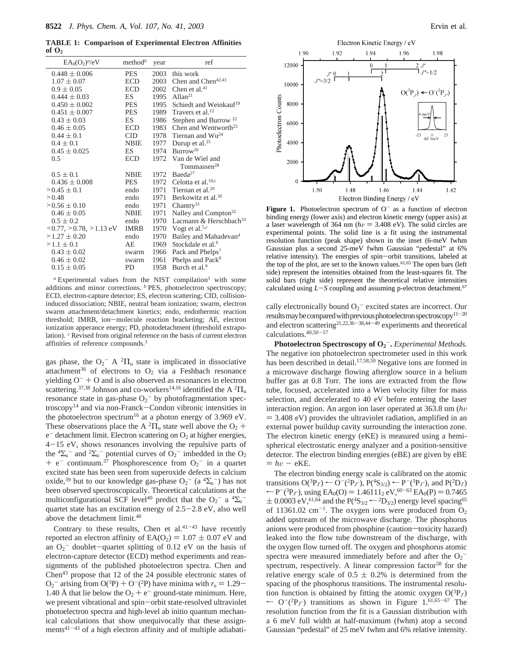**TABLE 1: Comparison of Experimental Electron Affinities of O2**

| $EA_0(O_2)^d/eV$                         | method <sup>b</sup> | year | ref                                              |
|------------------------------------------|---------------------|------|--------------------------------------------------|
| $0.448 \pm 0.006$                        | <b>PES</b>          |      | 2003 this work                                   |
| $1.07 \pm 0.07$                          | <b>ECD</b>          | 2003 | Chen and Chen <sup>42,43</sup>                   |
| $0.9 \pm 0.05$                           | <b>ECD</b>          | 2002 | Chen et al. $41$                                 |
| $0.444 \pm 0.03$                         | ES                  |      | 1995 Allan <sup>21</sup>                         |
| $0.450 \pm 0.002$                        | PES                 | 1995 | Schiedt and Weinkauf <sup>19</sup>               |
| $0.451 \pm 0.007$                        | <b>PES</b>          |      | 1989 Travers et al. <sup>12</sup>                |
| $0.43 \pm 0.03$                          | ES                  | 1986 | Stephen and Burrow <sup>22</sup>                 |
| $0.46 \pm 0.05$                          | <b>ECD</b>          | 1983 | Chen and Wentworth <sup>23</sup>                 |
| $0.44 \pm 0.1$                           | CID.                |      | 1978 Tiernan and $Wu^{24}$                       |
| $0.4 \pm 0.1$                            | <b>NBIE</b>         |      | 1977 Durup et al. <sup>25</sup>                  |
| $0.45 \pm 0.025$                         | ES                  | 1974 | Burrow <sup>26</sup>                             |
| 0.5                                      | <b>ECD</b>          |      | 1972 Van de Wiel and                             |
|                                          |                     |      | Tommassen <sup>28</sup>                          |
| $0.5 \pm 0.1$                            | <b>NBIE</b>         | 1972 | Baeda <sup>27</sup>                              |
| $0.436 \pm 0.008$                        | <b>PES</b>          |      | 1972 Celotta et al. <sup>10,<math>c</math></sup> |
| $> 0.45 \pm 0.1$                         | endo                |      | 1971 Tiernan et al. <sup>29</sup>                |
| > 0.48                                   | endo                | 1971 | Berkowitz et al. <sup>30</sup>                   |
| $\geq 0.56 \pm 0.10$                     | endo                |      | 1971 Chantry <sup>31</sup>                       |
| $0.46 \pm 0.05$                          | NBIE                | 1971 | Nalley and Compton <sup>32</sup>                 |
| $0.5 \pm 0.2$                            | endo                | 1970 | Lacmann & Herschbach <sup>33</sup>               |
| $\leq$ 0.77, $\geq$ 0.78, $\geq$ 1.13 eV | <b>IMRB</b>         |      | 1970 Vogt et al. <sup>5,c</sup>                  |
| $>1.27 \pm 0.20$                         | endo                | 1970 | Bailey and Mahadevan <sup>4</sup>                |
| $>1.1 \pm 0.1$                           | AE                  | 1969 | Stockdale et al. <sup>6</sup>                    |
| $0.43 \pm 0.02$                          | swarm               | 1966 | Pack and Phelps <sup>7</sup>                     |
| $0.46 \pm 0.02$                          | swarm               | 1961 | Phelps and Pack <sup>8</sup>                     |
| $0.15 \pm 0.05$                          | PD                  | 1958 | Burch et al. <sup>9</sup>                        |
|                                          |                     |      |                                                  |

*<sup>a</sup>* Experimental values from the NIST compilation3 with some additions and minor corrections. <sup>*b*</sup> PES, photoelectron spectroscopy; ECD, electron-capture detector; ES, electron scattering; CID, collisioninduced dissociation; NBIE, neutral beam ionization; swarm, electron swarm attachment/detachment kinetics; endo, endothermic reaction threshold; IMRB, ion-molecule reaction bracketing; AE, electron ionization apperance energy; PD, photodetachment (threshold extrapolation). *<sup>c</sup>* Revised from original reference on the basis of current electron affinities of reference compounds.3

gas phase, the  $O_2^-$  A  $^2\Pi_u$  state is implicated in dissociative attachment<sup>36</sup> of electrons to  $O_2$  via a Feshbach resonance yielding  $O^- + O$  and is also observed as resonances in electron scattering.<sup>37,38</sup> Johnson and co-workers<sup>14,16</sup> identified the A  ${}^{2}$  $\Pi$ <sub>u</sub> resonance state in gas-phase  $O_2$ <sup>-</sup> by photofragmentation spectroscopy14 and via non-Franck-Condon vibronic intensities in the photoelectron spectrum<sup>16</sup> at a photon energy of 3.969 eV. These observations place the A  ${}^{2}$  $\Pi$ <sub>u</sub> state well above the O<sub>2</sub> +  $e^-$  detachment limit. Electron scattering on  $O_2$  at higher energies, <sup>4</sup>-15 eV, shows resonances involving the repulsive parts of the  ${}^{4}\Sigma_{u}^{-}$  and  ${}^{2}\Sigma_{u}^{-}$  potential curves of  $O_{2}^{-}$  imbedded in the  $O_{2}$ + e<sup>-</sup> continuum.<sup>37</sup> Phosphorescence from  $O_2$ <sup>-</sup> in a quartet excited state has been seen from superoxide defects in calcium excited state has been seen from superoxide defects in calcium oxide,<sup>39</sup> but to our knowledge gas-phase  $O_2^-$  (a  ${}^4\Sigma_u^-$ ) has not been observed spectroscopically. Theoretical calculations at the multiconfigurational SCF level<sup>40</sup> predict that the O<sub>2</sub><sup>-</sup> a <sup>4</sup> $\Sigma$ <sub>u</sub><sup>-</sup> quartet state has an excitation energy of  $2.5-2.8$  eV, also well above the detachment limit.<sup>40</sup>

Contrary to these results, Chen et al. $41-43$  have recently reported an electron affinity of  $EA(O_2) = 1.07 \pm 0.07$  eV and an  $O_2$ <sup>-</sup> doublet-quartet splitting of 0.12 eV on the basis of electron-capture detector (ECD) method experiments and reaselectron-capture detector (ECD) method experiments and reassignments of the published photoelectron spectra. Chen and Chen43 propose that 12 of the 24 possible electronic states of  $O_2$ <sup>-</sup> arising from  $O(^3P) + O^-(2P)$  have minima with  $r_e = 1.29 - 1.40$  Å that lie below the  $O_2 + e^-$  ground-state minimum. Here 1.40 Å that lie below the  $O_2 + e^-$  ground-state minimum. Here, we present vibrational and spin-orbit state-resolved ultraviolet photoelectron spectra and high-level ab initio quantum mechanical calculations that show unequivocally that these assignments $41-43$  of a high electron affinity and of multiple adiabati-



**Figure 1.** Photoelectron spectrum of  $O<sup>-</sup>$  as a function of electron binding energy (lower axis) and electron kinetic energy (upper axis) at a laser wavelength of 364 nm ( $hv = 3.408$  eV). The solid circles are experimental points. The solid line is a fit using the instrumental resolution function (peak shape) shown in the inset (6-meV fwhm Gaussian plus a second 25-meV fwhm Gaussian "pedestal" at 6% relative intensity). The energies of spin-orbit transitions, labeled at the top of the plot, are set to the known values.<sup>61,65</sup> The open bars (left side) represent the intensities obtained from the least-squares fit. The solid bars (right side) represent the theoretical relative intensities calculated using  $L-S$  coupling and assuming p-electron detachment.<sup>67</sup>

cally electronically bound  $O_2$ <sup>-</sup> excited states are incorrect. Our results may be compared with previous photoelectron spectroscopy<sup>11-20</sup> and electron scattering<sup>21,22,36-38,44- $\overline{49}$ </sup> experiments and theoretical calculations.40,50-<sup>57</sup>

**Photoelectron Spectroscopy of O2** -**.** *Experimental Methods.* The negative ion photoelectron spectrometer used in this work has been described in detail.<sup>17,58,59</sup> Negative ions are formed in a microwave discharge flowing afterglow source in a helium buffer gas at 0.8 Torr. The ions are extracted from the flow tube, focused, accelerated into a Wien velocity filter for mass selection, and decelerated to 40 eV before entering the laser interaction region. An argon ion laser operated at 363.8 nm (*hv*  $=$  3.408 eV) provides the ultraviolet radiation, amplified in an external power buildup cavity surrounding the interaction zone. The electron kinetic energy (eKE) is measured using a hemispherical electrostatic energy analyzer and a position-sensitive detector. The electron binding energies (eBE) are given by eBE  $= hv - eKE.$ 

The electron binding energy scale is calibrated on the atomic transitions  $O(^{3}P_J) \leftarrow O^{-}(^{2}P_{J'})$ ,  $P(^{4}S_{3/2}) \leftarrow P^{-}(^{3}P_{J'})$ , and  $P(^{2}D_J)$  $r = P^{-}(3P_{J'})$ , using  $EA_0(O) = 1.46111_2 \text{ eV}, ^{60-63}EA_0(P) = 0.7465$  $\pm$  0.0003 eV,<sup>61,64</sup> and the P(<sup>4</sup>S<sub>3/2</sub>  $\leftarrow$  <sup>2</sup>D<sub>3/2</sub>) energy level spacing<sup>65</sup> of 11361.02 cm<sup>-1</sup>. The oxygen ions were produced from  $O_2$ added upstream of the microwave discharge. The phosphorus anions were produced from phosphine (caution-toxicity hazard) leaked into the flow tube downstream of the discharge, with the oxygen flow turned off. The oxygen and phosphorus atomic spectra were measured immediately before and after the  $O_2$ <sup>-</sup> spectrum, respectively. A linear compression factor<sup>58</sup> for the relative energy scale of  $0.5 \pm 0.2\%$  is determined from the spacing of the phosphorus transitions. The instrumental resolution function is obtained by fitting the atomic oxygen  $O(^3P_J)$  $\leftarrow$  O<sup>-</sup>(<sup>2</sup>P<sub>*J''*</sub>) transitions as shown in Figure 1.<sup>61,65-67</sup> The resolution function from the fit is a Gaussian distribution with a 6 meV full width at half-maximum (fwhm) atop a second Gaussian "pedestal" of 25 meV fwhm and 6% relative intensity.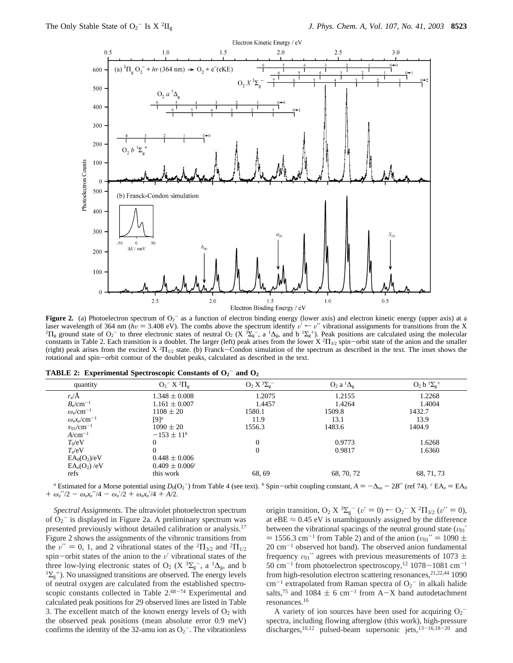

**Figure 2.** (a) Photoelectron spectrum of  $O_2$ <sup>-</sup> as a function of electron binding energy (lower axis) and electron kinetic energy (upper axis) at a laser wavelength of 364 nm ( $h\nu$  = 3.408 eV). The combs above the spectrum identify  $\nu' \leftarrow \nu''$  vibrational assignments for transitions from the X  $\Pi_{g}$  ground state of  $O_2^-$  to three electronic states of neutral  $O_2$  (X  ${}^{3}\Sigma_{g}^-$ , a  ${}^{1}\Delta_{g}$ , and b  ${}^{1}\Sigma_{g}^+$ ). Peak positions are calculated using the molecular constants in Table 2. Each transition is a doublet. The larger (left) peak arises from the lower  $X^2\Pi_{3/2}$  spin-orbit state of the anion and the smaller<br>(right) peak arises from the excited  $X^2\Pi_{3/2}$  state. (b) Fran (right) peak arises from the excited  $X^2\Pi_{1/2}$  state. (b) Franck-Condon simulation of the spectrum as described in the text. The inset shows the rotational and spin-orbit contour of the doublet peaks, calculated as des rotational and spin-orbit contour of the doublet peaks, calculated as described in the text.

| <b>TABLE 2: Experimental Spectroscopic Constants of <math>O_2</math> and <math>O_2</math></b> |  |  |  |  |  |
|-----------------------------------------------------------------------------------------------|--|--|--|--|--|
|-----------------------------------------------------------------------------------------------|--|--|--|--|--|

| quantity                                    | $O_2^- X^2 \Pi_g$  | $O_2 X 3\Sigma_g$ | $O_2$ a ${}^1\Delta_g$ | $O_2 b 1\Sigma_g$ <sup>+</sup> |
|---------------------------------------------|--------------------|-------------------|------------------------|--------------------------------|
| $r_e/\text{\AA}$                            | $1.348 \pm 0.008$  | 1.2075            | 1.2155                 | 1.2268                         |
| $B_{\rm e}$ /cm <sup>-1</sup>               | $1.161 \pm 0.007$  | 1.4457            | 1.4264                 | 1.4004                         |
| $\omega_{\rm e}$ /cm <sup>-1</sup>          | $1108 \pm 20$      | 1580.1            | 1509.8                 | 1432.7                         |
| $\omega_{\rm e}x_{\rm e}$ /cm <sup>-1</sup> | $[9]$ <sup>a</sup> | 11.9              | 13.1                   | 13.9                           |
| $v_{01}/\text{cm}^{-1}$                     | $1090 \pm 20$      | 1556.3            | 1483.6                 | 1404.9                         |
| $A/cm^{-1}$                                 | $-153 \pm 11^{b}$  |                   |                        |                                |
| $T_0/eV$                                    |                    | $\theta$          | 0.9773                 | 1.6268                         |
| $T_e/eV$                                    |                    | $\Omega$          | 0.9817                 | 1.6360                         |
| $EA_0(O_2)/eV$                              | $0.448 \pm 0.006$  |                   |                        |                                |
| $EA_e(O_2)/eV$                              | $0.409 \pm 0.006c$ |                   |                        |                                |
| refs                                        | this work          | 68, 69            | 68, 70, 72             | 68, 71, 73                     |
|                                             |                    |                   |                        |                                |

*a* Estimated for a Morse potential using *D*<sub>0</sub>(O<sub>2</sub><sup>-</sup>) from Table 4 (see text). *b* Spin-orbit coupling constant, *A* = −∆<sub>so</sub> − 2*B*′′ (ref 74). *c* EA<sub>e</sub> = EA<sub>0</sub>  $\omega$ ,  $\omega$ <sup>2</sup>/2 +  $\omega$ ,  $\omega$ /2 +  $\omega$ ,  $\omega$ /4 + A/2  $+ \omega_e''/2 - \omega_e x_e''/4 - \omega_e'/2 + \omega_e x_e''/4 + A/2.$ 

*Spectral Assignments.* The ultraviolet photoelectron spectrum of  $O_2$ <sup>-</sup> is displayed in Figure 2a. A preliminary spectrum was presented previously without detailed calibration or analysis.17 Figure 2 shows the assignments of the vibronic transitions from the  $v'' = 0$ , 1, and 2 vibrational states of the <sup>2</sup>Π<sub>3/2</sub> and <sup>2</sup>Π<sub>1/2</sub> spin-orbit states of the anion to the  $v'$  vibrational states of the three low-lying electronic states of O<sub>2</sub> (X  ${}^{3}\Sigma_{g}^{-}$ , a  ${}^{1}\Delta_{g}$ , and b  ${}^{1}\Sigma_{g}^{+}$ ). No unassigned transitions are observed. The energy levels  ${}^{1}\Sigma_{g}^{+}$ ). No unassigned transitions are observed. The energy levels of neutral oxygen are calculated from the established spectroscopic constants collected in Table 2.<sup>68-74</sup> Experimental and calculated peak positions for 29 observed lines are listed in Table 3. The excellent match of the known energy levels of  $O<sub>2</sub>$  with the observed peak positions (mean absolute error 0.9 meV) confirms the identity of the 32-amu ion as  $O_2$ <sup>-</sup>. The vibrationless

origin transition,  $O_2 \times 3\Sigma_g^ (v' = 0) \leftarrow O_2^- \times 2\Pi_{3/2}$   $(v'' = 0)$ ,<br>at eRE  $\approx 0.45$  eV is unambiguously assigned by the difference at eBE  $\approx$  0.45 eV is unambiguously assigned by the difference between the vibrational spacings of the neutral ground state  $(v_{01})$  $=$  1556.3 cm<sup>-1</sup> from Table 2) and of the anion ( $v_{01}$ " = 1090  $\pm$  $20 \text{ cm}^{-1}$  observed hot band). The observed anion fundamental frequency  $v_{01}$ " agrees with previous measurements of 1073  $\pm$  $50 \text{ cm}^{-1}$  from photoelectron spectroscopy,<sup>12</sup> 1078-1081 cm<sup>-1</sup> from high-resolution electron scattering resonances,  $2^{1,22,44}$  1090  $\text{cm}^{-1}$  extrapolated from Raman spectra of  $\text{O}_2$ <sup>-</sup> in alkali halide salts,<sup>75</sup> and 1084  $\pm$  6 cm<sup>-1</sup> from A-X band autodetachment resonances.16

A variety of ion sources have been used for acquiring  $O_2$ <sup>-</sup> spectra, including flowing afterglow (this work), high-pressure discharges,<sup>10,12</sup> pulsed-beam supersonic jets,<sup>13-16,18-20</sup> and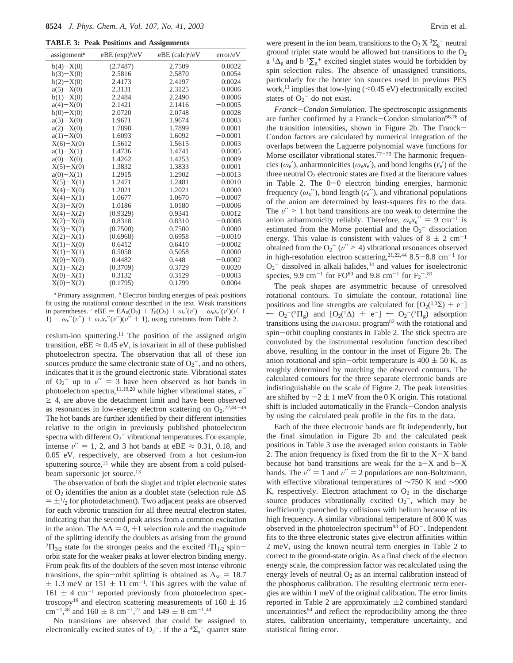|  |  |  |  |  |  |  | <b>TABLE 3: Peak Positions and Assignments</b> |
|--|--|--|--|--|--|--|------------------------------------------------|
|--|--|--|--|--|--|--|------------------------------------------------|

| assignment <sup>a</sup> | eBE (exp) <sup>b</sup> /eV | eBE $(calc)^c/eV$ | error/eV  |
|-------------------------|----------------------------|-------------------|-----------|
| $b(4)-X(0)$             | (2.7487)                   | 2.7509            | 0.0022    |
| $b(3)-X(0)$             | 2.5816                     | 2.5870            | 0.0054    |
| $b(2)-X(0)$             | 2.4173                     | 2.4197            | 0.0024    |
| $a(5)-X(0)$             | 2.3131                     | 2.3125            | $-0.0006$ |
| $b(1)-X(0)$             | 2.2484                     | 2.2490            | 0.0006    |
| $a(4)-X(0)$             | 2.1421                     | 2.1416            | $-0.0005$ |
| $b(0)-X(0)$             | 2.0720                     | 2.0748            | 0.0028    |
| $a(3)-X(0)$             | 1.9671                     | 1.9674            | 0.0003    |
| $a(2)-X(0)$             | 1.7898                     | 1.7899            | 0.0001    |
| $a(1)-X(0)$             | 1.6093                     | 1.6092            | $-0.0001$ |
| $X(6)-X(0)$             | 1.5612                     | 1.5615            | 0.0003    |
| $a(1)-X(1)$             | 1.4736                     | 1.4741            | 0.0005    |
| $a(0)-X(0)$             | 1.4262                     | 1.4253            | $-0.0009$ |
| $X(5)-X(0)$             | 1.3832                     | 1.3833            | 0.0001    |
| $a(0)-X(1)$             | 1.2915                     | 1.2902            | $-0.0013$ |
| $X(5)-X(1)$             | 1.2471                     | 1.2481            | 0.0010    |
| $X(4)-X(0)$             | 1.2021                     | 1.2021            | 0.0000    |
| $X(4)-X(1)$             | 1.0677                     | 1.0670            | $-0.0007$ |
| $X(3)-X(0)$             | 1.0186                     | 1.0180            | $-0.0006$ |
| $X(4)-X(2)$             | (0.9329)                   | 0.9341            | 0.0012    |
| $X(2)-X(0)$             | 0.8318                     | 0.8310            | $-0.0008$ |
| $X(3)-X(2)$             | (0.7500)                   | 0.7500            | 0.0000    |
| $X(2)-X(1)$             | (0.6968)                   | 0.6958            | $-0.0010$ |
| $X(1)-X(0)$             | 0.6412                     | 0.6410            | $-0.0002$ |
| $X(1)-X(1)$             | 0.5058                     | 0.5058            | 0.0000    |
| $X(0)-X(0)$             | 0.4482                     | 0.448             | $-0.0002$ |
| $X(1)-X(2)$             | (0.3709)                   | 0.3729            | 0.0020    |
| $X(0)-X(1)$             | 0.3132                     | 0.3129            | $-0.0003$ |
| $X(0)-X(2)$             | (0.1795)                   | 0.1799            | 0.0004    |
|                         |                            |                   |           |

*<sup>a</sup>* Primary assignment. *<sup>b</sup>* Electron binding energies of peak positions fit using the rotational contour described in the text. Weak transitions in parentheses. <sup>*c*</sup> eBE = EA<sub>0</sub>(O<sub>2</sub>) +  $T_0$ (O<sub>2</sub>) +  $\omega_e'(v') - \omega_e x_e'(v')$ (v' + 1)  $-\omega_e''(v'') + \omega_e x_e''(v'')$  (*v'* + 1), using constants from Table 2.

cesium-ion sputtering.11 The position of the assigned origin transition, eBE  $\approx 0.45$  eV, is invariant in all of these published photoelectron spectra. The observation that all of these ion sources produce the same electronic state of  $O_2^-$ , and no others, indicates that it is the ground electronic state. Vibrational states of  $O_2^-$  up to  $v'' = 3$  have been observed as hot bands in photoelectron spectra 11,19,20 while higher vibrational states  $v''$ photoelectron spectra,<sup>11,19,20</sup> while higher vibrational states,  $v''$  $\geq$  4, are above the detachment limit and have been observed as resonances in low-energy electron scattering on  $O_2$ .<sup>22,44-49</sup> The hot bands are further identified by their different intensities relative to the origin in previously published photoelectron spectra with different  $O_2$ <sup>-</sup> vibrational temperatures. For example, intense  $v'' = 1$ , 2, and 3 hot bands at eBE  $\approx 0.31$ , 0.18, and 0.05 eV, respectively, are observed from a hot cesium-ion sputtering source, $11$  while they are absent from a cold pulsedbeam supersonic jet source.<sup>13</sup>

The observation of both the singlet and triplet electronic states of O2 identifies the anion as a doublet state (selection rule ∆S  $= \pm \frac{1}{2}$  for photodetachment). Two adjacent peaks are observed for each vibronic transition for all three neutral electron states, indicating that the second peak arises from a common excitation in the anion. The  $\Delta \Lambda = 0, \pm 1$  selection rule and the magnitude of the splitting identify the doublets as arising from the ground  ${}^{2}$  $\Pi_{3/2}$  state for the stronger peaks and the excited  ${}^{2}$  $\Pi_{1/2}$  spinorbit state for the weaker peaks at lower electron binding energy. From peak fits of the doublets of the seven most intense vibronic transitions, the spin-orbit splitting is obtained as  $\Delta_{\rm so} = 18.7$  $\pm$  1.3 meV or 151  $\pm$  11 cm<sup>-1</sup>. This agrees with the value of  $161 \pm 4$  cm<sup>-1</sup> reported previously from photoelectron spectroscopy<sup>19</sup> and electron scattering measurements of  $160 \pm 16$ cm<sup>-1,48</sup> and 160  $\pm$  8 cm<sup>-1,22</sup> and 149  $\pm$  8 cm<sup>-1,44</sup><br>No transitions are observed that could be a

No transitions are observed that could be assigned to electronically excited states of  $O_2$ <sup>-</sup>. If the a <sup>4</sup> $\Sigma$ <sub>u</sub><sup>-</sup> quartet state

were present in the ion beam, transitions to the  $O_2 X 3\Sigma_g^-$  neutral ground triplet state would be allowed but transitions to the  $O<sub>2</sub>$  $a^{-1}\Delta_g$  and b  ${}^{1}\Sigma_g$ <sup>+</sup> excited singlet states would be forbidden by spin selection rules. The absence of unassigned transitions, particularly for the hotter ion sources used in previous PES work,<sup>11</sup> implies that low-lying  $($  < 0.45 eV) electronically excited states of  $O_2$ <sup>-</sup> do not exist.

*Franck*-*Condon Simulation.* The spectroscopic assignments are further confirmed by a Franck-Condon simulation<sup>66,76</sup> of the transition intensities, shown in Figure 2b. The Franck-Condon factors are calculated by numerical integration of the overlaps between the Laguerre polynomial wave functions for Morse oscillator vibrational states.<sup>77-79</sup> The harmonic frequencies ( $\omega_e'$ ), anharmonicities ( $\omega_e x_e'$ ), and bond lengths ( $r_e'$ ) of the three neutral  $O_2$  electronic states are fixed at the literature values in Table 2. The  $0-0$  electron binding energies, harmonic frequency  $(\omega_e'')$ , bond length  $(r_e'')$ , and vibrational populations of the anion are determined by least-squares fits to the data. The  $v'' > 1$  hot band transitions are too weak to determine the anion anharmonicity reliably. Therefore,  $\omega_e x_e^{\prime\prime} = 9 \text{ cm}^{-1}$  is estimated from the Morse potential and the O<sub>2</sub><sup>-</sup> dissociation energy. This value is consistent with values of  $8 \pm 2$  cm<sup>-1</sup> obtained from the  $O_2^-$  ( $v'' \ge 4$ ) vibrational resonances observed<br>in high-resolution electron scattering 21,22,44 8.5–8.8 cm<sup>-1</sup> for in high-resolution electron scattering,  $21,22,44$  8.5-8.8 cm<sup>-1</sup> for  $O_2$ <sup>-</sup> dissolved in alkali halides,<sup>34</sup> and values for isoelectronic species, 9.9 cm<sup>-1</sup> for  $FO^{80}$  and 9.8 cm<sup>-1</sup> for  $F_2^{+.81}$ 

The peak shapes are asymmetric because of unresolved rotational contours. To simulate the contour, rotational line positions and line strengths are calculated for  $[O_2(1.32) + e^-]$  $\leftarrow$  O<sub>2</sub><sup>-</sup>(<sup>2</sup>Π<sub>g</sub>) and [O<sub>2</sub>(<sup>1</sup>Δ) + e<sup>-</sup>] ← O<sub>2</sub><sup>-(2</sup>Π<sub>g</sub>) adsorption<br>transitions using the DIATOMIC program<sup>82</sup> with the rotational and transitions using the DIATOMIC program82 with the rotational and spin-orbit coupling constants in Table 2. The stick spectra are convoluted by the instrumental resolution function described above, resulting in the contour in the inset of Figure 2b. The anion rotational and spin-orbit temperature is  $400 \pm 50$  K, as roughly determined by matching the observed contours. The calculated contours for the three separate electronic bands are indistinguishable on the scale of Figure 2. The peak intensities are shifted by  $-2 \pm 1$  meV from the 0 K origin. This rotational shift is included automatically in the Franck-Condon analysis by using the calculated peak profile in the fits to the data.

Each of the three electronic bands are fit independently, but the final simulation in Figure 2b and the calculated peak positions in Table 3 use the averaged anion constants in Table 2. The anion frequency is fixed from the fit to the  $X-X$  band because hot band transitions are weak for the  $a-X$  and  $b-X$ bands. The  $v'' = 1$  and  $v'' = 2$  populations are non-Boltzmann, with effective vibrational temperatures of ∼750 K and ∼900 K, respectively. Electron attachment to  $O<sub>2</sub>$  in the discharge source produces vibrationally excited  $O_2^-$ , which may be inefficiently quenched by collisions with helium because of its high frequency. A similar vibrational temperature of 800 K was observed in the photoelectron spectrum<sup>83</sup> of  $FO^-$ . Independent fits to the three electronic states give electron affinities within 2 meV, using the known neutral term energies in Table 2 to correct to the ground-state origin. As a final check of the electron energy scale, the compression factor was recalculated using the energy levels of neutral  $O_2$  as an internal calibration instead of the phosphorus calibration. The resulting electronic term energies are within 1 meV of the original calibration. The error limits reported in Table 2 are approximately  $\pm 2$  combined standard uncertainties<sup>84</sup> and reflect the reproducibility among the three states, calibration uncertainty, temperature uncertainty, and statistical fitting error.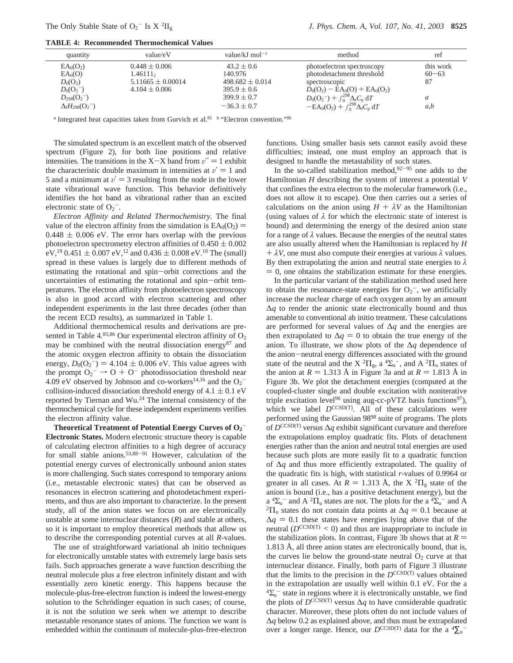**TABLE 4: Recommended Thermochemical Values**

| quantity                                                                               | value/eV                                                                    | value/kJ mol <sup>-1</sup>                                          | method                                                                                                                                           | ret                          |
|----------------------------------------------------------------------------------------|-----------------------------------------------------------------------------|---------------------------------------------------------------------|--------------------------------------------------------------------------------------------------------------------------------------------------|------------------------------|
| EA <sub>0</sub> (O <sub>2</sub> )<br>EA <sub>0</sub> (O)<br>$D_0(O_2)$<br>$D_0(O_2^-)$ | $0.448 \pm 0.006$<br>1.46111,<br>$5.11665 \pm 0.00014$<br>$4.104 \pm 0.006$ | $43.2 \pm 0.6$<br>140.976<br>$498.682 \pm 0.014$<br>$395.9 \pm 0.6$ | photoelectron spectroscopy<br>photodetachment threshold<br>spectroscopic<br>$D_0(O_2)$ – EA <sub>0</sub> (O) + EA <sub>0</sub> (O <sub>2</sub> ) | this work<br>$60 - 63$<br>87 |
| $D_{298}(O_2^-)$<br>$\Delta_{\rm f}H_{298}({\rm O_2}^-)$                               |                                                                             | $399.9 \pm 0.7$<br>$-36.3 \pm 0.7$                                  | $D_0(O_2^-) + \int_0^{298} \Delta_r C_p dT$<br>$-EA_0(O_2) + \int_0^{298} \Delta_f C_p dT$                                                       | a<br>a,b                     |

*a* Integrated heat capacities taken from Gurvich et al.<sup>85</sup> *b* "Electron convention."<sup>86</sup>

The simulated spectrum is an excellent match of the observed spectrum (Figure 2), for both line positions and relative intensities. The transitions in the X-X band from  $v'' = 1$  exhibit the characteristic double maximum in intensities at  $v' = 1$  and 5 and a minimum at  $v' = 3$  resulting from the node in the lower state vibrational wave function. This behavior definitively identifies the hot band as vibrational rather than an excited electronic state of  $O_2^-$ .

*Electron Affinity and Related Thermochemistry.* The final value of the electron affinity from the simulation is  $EA_0(O_2)$  =  $0.448 \pm 0.006$  eV. The error bars overlap with the previous photoelectron spectrometry electron affinities of  $0.450 \pm 0.002$ eV,<sup>19</sup> 0.451  $\pm$  0.007 eV,<sup>12</sup> and 0.436  $\pm$  0.008 eV.<sup>10</sup> The (small) spread in these values is largely due to different methods of estimating the rotational and spin-orbit corrections and the uncertainties of estimating the rotational and spin-orbit temperatures. The electron affinity from photoelectron spectroscopy is also in good accord with electron scattering and other independent experiments in the last three decades (other than the recent ECD results), as summarized in Table 1.

Additional thermochemical results and derivations are presented in Table 4.85,86 Our experimental electron affinity of  $O<sub>2</sub>$ may be combined with the neutral dissociation energy<sup>87</sup> and the atomic oxygen electron affinity to obtain the dissociation energy,  $D_0(O_2^-) = 4.104 \pm 0.006$  eV. This value agrees with the prompt  $O_2^- \rightarrow O_2^+ O_2^-$  photodissociation threshold near the prompt  $O_2^- \rightarrow O + O^-$  photodissociation threshold near 4.09 eV observed by Johnson and co-workers<sup>14,16</sup> and the  $O_2^-$ 4.09 eV observed by Johnson and co-workers<sup>14,16</sup> and the  $O_2$ <sup>-</sup> collision-induced dissociation threshold energy of  $4.1 \pm 0.1$  eV reported by Tiernan and Wu.24 The internal consistency of the thermochemical cycle for these independent experiments verifies the electron affinity value.

**Theoretical Treatment of Potential Energy Curves of O2** - **Electronic States.** Modern electronic structure theory is capable of calculating electron affinities to a high degree of accuracy for small stable anions.<sup>53,88-91</sup> However, calculation of the potential energy curves of electronically unbound anion states is more challenging. Such states correspond to temporary anions (i.e., metastable electronic states) that can be observed as resonances in electron scattering and photodetachment experiments, and thus are also important to characterize. In the present study, all of the anion states we focus on are electronically unstable at some internuclear distances (*R*) and stable at others, so it is important to employ theoretical methods that allow us to describe the corresponding potential curves at all *R*-values.

The use of straightforward variational ab initio techniques for electronically unstable states with extremely large basis sets fails. Such approaches generate a wave function describing the neutral molecule plus a free electron infinitely distant and with essentially zero kinetic energy. This happens because the molecule-plus-free-electron function is indeed the lowest-energy solution to the Schrödinger equation in such cases; of course, it is not the solution we seek when we attempt to describe metastable resonance states of anions. The function we want is embedded within the continuum of molecule-plus-free-electron functions. Using smaller basis sets cannot easily avoid these difficulties; instead, one must employ an approach that is designed to handle the metastability of such states.

In the so-called stabilization method,  $92-95$  one adds to the Hamiltonian *H* describing the system of interest a potential *V* that confines the extra electron to the molecular framework (i.e., does not allow it to escape). One then carries out a series of calculations on the anion using  $H + \lambda V$  as the Hamiltonian (using values of  $\lambda$  for which the electronic state of interest is bound) and determining the energy of the desired anion state for a range of *λ* values. Because the energies of the neutral states are also usually altered when the Hamiltonian is replaced by *H*  $+ \lambda V$ , one must also compute their energies at various  $\lambda$  values. By then extrapolating the anion and neutral state energies to *λ*  $= 0$ , one obtains the stabilization estimate for these energies.

In the particular variant of the stabilization method used here to obtain the resonance-state energies for  $O_2$ <sup>-</sup>, we artificially increase the nuclear charge of each oxygen atom by an amount ∆*q* to render the anionic state electronically bound and thus amenable to conventional ab initio treatment. These calculations are performed for several values of ∆*q* and the energies are then extrapolated to  $\Delta q = 0$  to obtain the true energy of the anion. To illustrate, we show plots of the ∆*q* dependence of the anion-neutral energy differences associated with the ground state of the neutral and the X<sup>2</sup> $\Pi_g$ , a<sup>4</sup> $\Sigma_u^-$ , and A<sup>2</sup> $\Pi_u$  states of the anion at  $R = 1.313$  Å in Figure 3a and at  $R = 1.813$  Å in Figure 3b. We plot the detachment energies (computed at the coupled-cluster single and double excitation with noniterative triple excitation level<sup>96</sup> using aug-cc-pVTZ basis functions<sup>97</sup>), which we label  $D^{\text{CCSD(T)}}$ . All of these calculations were performed using the Gaussian 9898 suite of programs. The plots of *D*CCSD(T) versus ∆*q* exhibit significant curvature and therefore the extrapolations employ quadratic fits. Plots of detachment energies rather than the anion and neutral total energies are used because such plots are more easily fit to a quadratic function of ∆*q* and thus more efficiently extrapolated. The quality of the quadratic fits is high, with statistical *r*-values of 0.9964 or greater in all cases. At  $R = 1.313$  Å, the X <sup>2</sup> $\Pi_{\rm g}$  state of the anion is bound (i.e., has a positive detachment energy), but the  $a^{4}\Sigma_{u}^{-}$  and A  $^{2}\Pi_{u}$  states are not. The plots for the a  $^{4}\Sigma_{u}$ <sup>2</sup>Π<sub>u</sub> states do not contain data points at  $\Delta q = 0.1$  because at  $\Delta q = 0.1$  these states have energies lying above that of the neutral ( $D^{CCSD(T)} < 0$ ) and thus are inappropriate to include in the stabilization plots. In contrast, Figure 3b shows that at  $R =$ 1.813 Å, all three anion states are electronically bound, that is, the curves lie below the ground-state neutral  $O_2$  curve at that internuclear distance. Finally, both parts of Figure 3 illustrate that the limits to the precision in the  $D^{CCSD(T)}$  values obtained in the extrapolation are usually well within 0.1 eV. For the a  ${}^{4}\Sigma_{u}^{-}$  state in regions where it is electronically unstable, we find the plots of  $D^{\text{CCSD(T)}}$  versus  $\Delta q$  to have considerable quadratic character. Moreover, these plots often do not include values of ∆*q* below 0.2 as explained above, and thus must be extrapolated over a longer range. Hence, our  $D^{\text{CCSD(T)}}$  data for the a  ${}^4\Sigma_u$ <sup>-</sup>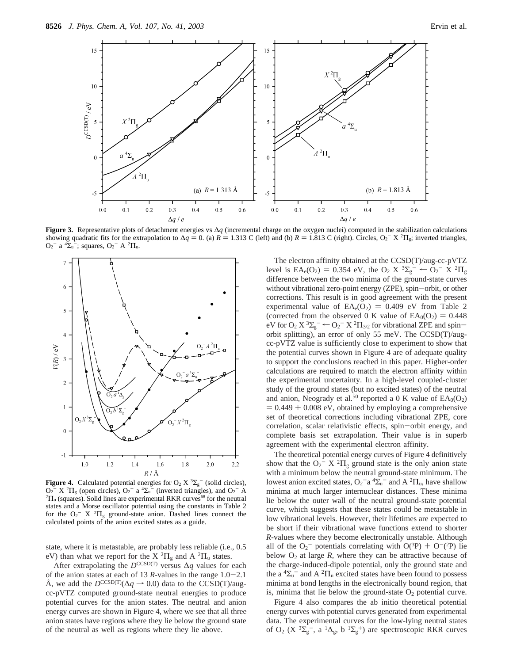

**Figure 3.** Representative plots of detachment energies vs ∆*q* (incremental charge on the oxygen nuclei) computed in the stabilization calculations showing quadratic fits for the extrapolation to  $\Delta q = 0$ . (a)  $R = 1.313$  C (left) and (b)  $R = 1.813$  C (right). Circles,  $O_2^- \times {}^2\Pi_g$ ; inverted triangles,  $O_2^- \times {}^2\Pi_g$ .  $O_2^-$  a  $^4\Sigma_u^-$ ; squares,  $O_2^-$  A  $^2\Pi_u$ .



**Figure 4.** Calculated potential energies for  $O_2 X \nvert^3 \Sigma_g^-$  (solid circles),  $Q_2$ <sup>-</sup> X<sup>2</sup> $\Pi$ <sub>g</sub> (open circles),  $Q_2$ <sup>-</sup> a<sup>4</sup> $\Sigma_u$ <sup>-</sup> (inverted triangles), and  $Q_2$ <sup>-</sup> A<sup>2</sup> $\Pi$  (squares). Solid lines are experimental RKR curves<sup>68</sup> for the neutral  ${}^{2}\Pi_{u}$  (squares). Solid lines are experimental RKR curves<sup>68</sup> for the neutral states and a Morse oscillator potential using the constants in Table 2 for the  $O_2$ <sup>-</sup> X <sup>2</sup> $\Pi$ <sub>g</sub> ground-state anion. Dashed lines connect the calculated points of the anion excited states as a guide.

state, where it is metastable, are probably less reliable (i.e., 0.5 eV) than what we report for the X  ${}^{2}\Pi_{g}$  and A  ${}^{2}\Pi_{u}$  states.

After extrapolating the  $D^{\text{CCSD(T)}}$  versus  $\Delta q$  values for each of the anion states at each of 13 *<sup>R</sup>*-values in the range 1.0-2.1 Å, we add the  $D^{\text{CCSD(T)}}(\Delta q \rightarrow 0.0)$  data to the CCSD(T)/augcc-pVTZ computed ground-state neutral energies to produce potential curves for the anion states. The neutral and anion energy curves are shown in Figure 4, where we see that all three anion states have regions where they lie below the ground state of the neutral as well as regions where they lie above.

The electron affinity obtained at the CCSD(T)/aug-cc-pVTZ level is  $EA_e(O_2) = 0.354$  eV, the  $O_2 \times {}^3\Sigma_g^ \leftarrow O_2^- \times {}^2\Pi_g$ <br>difference between the two minima of the ground-state curves difference between the two minima of the ground-state curves without vibrational zero-point energy (ZPE), spin-orbit, or other corrections. This result is in good agreement with the present experimental value of  $EA_e(O_2) = 0.409$  eV from Table 2 (corrected from the observed 0 K value of  $EA_0(O_2) = 0.448$ ) eV for  $O_2$   $X$   ${}^{3}\Sigma_g$   $\sim$   $O_2$   ${}^{7}$   $X$   ${}^{2}\Pi_{3/2}$  for vibrational ZPE and spin-<br>orbit splitting) an error of only 55 meV. The CCSD(T)/augorbit splitting), an error of only 55 meV. The CCSD(T)/augcc-pVTZ value is sufficiently close to experiment to show that the potential curves shown in Figure 4 are of adequate quality to support the conclusions reached in this paper. Higher-order calculations are required to match the electron affinity within the experimental uncertainty. In a high-level coupled-cluster study of the ground states (but no excited states) of the neutral and anion, Neogrady et al.<sup>50</sup> reported a 0 K value of  $EA_0(O_2)$  $= 0.449 \pm 0.008$  eV, obtained by employing a comprehensive set of theoretical corrections including vibrational ZPE, core correlation, scalar relativistic effects, spin-orbit energy, and complete basis set extrapolation. Their value is in superb agreement with the experimental electron affinity.

The theoretical potential energy curves of Figure 4 definitively show that the  $O_2^- X^2 \Pi_g$  ground state is the only anion state with a minimum below the neutral ground-state minimum. The lowest anion excited states,  $O_2$ <sup>-</sup> a<sup>4</sup> $\Sigma$ <sub>u</sub><sup>-</sup> and A<sup>2</sup> $\Pi$ <sub>u</sub>, have shallow minima at much larger internuclear distances. These minima lie below the outer wall of the neutral ground-state potential curve, which suggests that these states could be metastable in low vibrational levels. However, their lifetimes are expected to be short if their vibrational wave functions extend to shorter *R*-values where they become electronically unstable. Although all of the  $O_2$ <sup>-</sup> potentials correlating with  $O(^3P) + O^-(2P)$  lie<br>helow  $O_2$  at large R, where they can be attractive because of below  $O_2$  at large  $R$ , where they can be attractive because of the charge-induced-dipole potential, only the ground state and the a  ${}^{4}\Sigma_{u}^{-}$  and A  ${}^{2}\Pi_{u}$  excited states have been found to possess minima at bond lengths in the electronically bound region, that is, minima that lie below the ground-state  $O<sub>2</sub>$  potential curve.

Figure 4 also compares the ab initio theoretical potential energy curves with potential curves generated from experimental data. The experimental curves for the low-lying neutral states of O<sub>2</sub> (X  ${}^{3}\Sigma_{g}^{-}$ , a  ${}^{1}\Delta_{g}$ , b  ${}^{1}\Sigma_{g}^{+}$ ) are spectroscopic RKR curves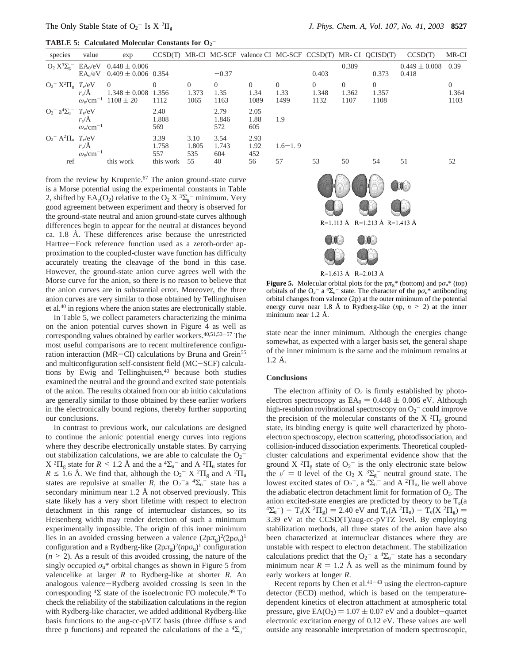| <b>TABLE 5: Calculated Molecular Constants for <math>O2</math></b> |
|--------------------------------------------------------------------|
|--------------------------------------------------------------------|

| species                                             | value                                                     | exp                                                  |                      |                           |                                | $CCSD(T)$ MR-CI MC-SCF valence CI MC-SCF $CCSD(T)$ MR-CI $QCISD(T)$ |                          |                           |                           |                           | CCSD(T)                    | MR-CI                     |
|-----------------------------------------------------|-----------------------------------------------------------|------------------------------------------------------|----------------------|---------------------------|--------------------------------|---------------------------------------------------------------------|--------------------------|---------------------------|---------------------------|---------------------------|----------------------------|---------------------------|
| $O_2 X^3 \Sigma_g$ $E A_0 / eV$                     | $EA_e/eV$                                                 | $0.448 \pm 0.006$<br>$0.409 \pm 0.006$ 0.354         |                      |                           | $-0.37$                        |                                                                     |                          | 0.403                     | 0.389                     | 0.373                     | $0.449 \pm 0.008$<br>0.418 | 0.39                      |
| $O_2$ <sup>-</sup> $X^2\Pi_g$ $T_e/eV$              | $r_e/A$<br>$\omega_{\rm e}$ /cm <sup>-1</sup>             | $\Omega$<br>$1.348 \pm 0.008$ 1.356<br>$1108 \pm 20$ | 0<br>1112            | $\theta$<br>1.373<br>1065 | $\overline{0}$<br>1.35<br>1163 | $\theta$<br>1.34<br>1089                                            | $\Omega$<br>1.33<br>1499 | $\Omega$<br>1.348<br>1132 | $\Omega$<br>1.362<br>1107 | $\theta$<br>1.357<br>1108 |                            | $\Omega$<br>1.364<br>1103 |
| $Q_2$ <sup>-</sup> $a^4\Sigma_{\rm u}$ <sup>-</sup> | $T_e/eV$<br>$r_e/A$<br>$\omega_{\rm e}$ /cm <sup>-1</sup> |                                                      | 2.40<br>1.808<br>569 |                           | 2.79<br>1.846<br>572           | 2.05<br>1.88<br>605                                                 | 1.9                      |                           |                           |                           |                            |                           |
| $Q_2$ <sup>-</sup> $A^2\Pi_{\text{u}}$ $T_e/eV$     | $r_e/A$<br>$\omega_{\rm e}$ /cm <sup>-1</sup>             |                                                      | 3.39<br>1.758<br>557 | 3.10<br>1.805<br>535      | 3.54<br>1.743<br>604           | 2.93<br>1.92<br>452                                                 | $1.6 - 1.9$              |                           |                           |                           |                            |                           |
| ref                                                 |                                                           | this work                                            | this work            | 55                        | 40                             | 56                                                                  | 57                       | 53                        | 50                        | 54                        | 51                         | 52                        |
|                                                     |                                                           |                                                      |                      |                           |                                |                                                                     |                          |                           | t Sa                      |                           |                            |                           |

from the review by Krupenie.<sup>67</sup> The anion ground-state curve is a Morse potential using the experimental constants in Table 2, shifted by  $EA_e(O_2)$  relative to the  $O_2 X 3\Sigma_g^-$  minimum. Very good agreement between experiment and theory is observed for the ground-state neutral and anion ground-state curves although differences begin to appear for the neutral at distances beyond ca. 1.8 Å. These differences arise because the unrestricted Hartree-Fock reference function used as a zeroth-order approximation to the coupled-cluster wave function has difficulty accurately treating the cleavage of the bond in this case. However, the ground-state anion curve agrees well with the Morse curve for the anion, so there is no reason to believe that the anion curves are in substantial error. Moreover, the three anion curves are very similar to those obtained by Tellinghuisen et al.40 in regions where the anion states are electronically stable.

In Table 5, we collect parameters characterizing the minima on the anion potential curves shown in Figure 4 as well as corresponding values obtained by earlier workers.<sup>40,51,53-57</sup> The most useful comparisons are to recent multireference configuration interaction (MR-CI) calculations by Bruna and Grein<sup>55</sup> and multiconfiguration self-consistent field (MC-SCF) calculations by Ewig and Tellinghuisen,<sup>40</sup> because both studies examined the neutral and the ground and excited state potentials of the anion. The results obtained from our ab initio calculations are generally similar to those obtained by these earlier workers in the electronically bound regions, thereby further supporting our conclusions.

In contrast to previous work, our calculations are designed to continue the anionic potential energy curves into regions where they describe electronically unstable states. By carrying out stabilization calculations, we are able to calculate the  $O_2$ <sup>-</sup>  $X^{2}\Pi_{g}$  state for  $R \leq 1.2$  Å and the a  $^{4}\Sigma_{u}^{-}$  and A  $^{2}\Pi_{u}$  states for  $R \leq 1.6$  Å We find that although the  $\Omega_{0}^{-}$  X  $^{2}\Pi_{u}$  and A  $^{2}\Pi_{u}$  $R \leq 1.6$  Å. We find that, although the  $O_2$ <sup>-</sup> X <sup>2</sup> $\Pi_g$  and A <sup>2</sup> $\Pi_u$ states are repulsive at smaller *R*, the O<sub>2</sub><sup>-</sup>a <sup>4</sup> $\Sigma$ <sub>u</sub><sup>-</sup> state has a secondary minimum near 1.2 Å not observed previously. This state likely has a very short lifetime with respect to electron detachment in this range of internuclear distances, so its Heisenberg width may render detection of such a minimum experimentally impossible. The origin of this inner minimum lies in an avoided crossing between a valence  $(2p\pi_g)^2(2p\sigma_u)^1$ configuration and a Rydberg-like  $(2p\pi_g)^2(np\sigma_u)^1$  configuration  $(n \geq 2)$ . As a result of this avoided crossing, the nature of the singly occupied  $\sigma_{\rm u}$ <sup>\*</sup> orbital changes as shown in Figure 5 from valencelike at larger *R* to Rydberg-like at shorter *R*. An analogous valence-Rydberg avoided crossing is seen in the corresponding  ${}^4\Sigma$  state of the isoelectronic FO molecule.<sup>99</sup> To check the reliability of the stabilization calculations in the region with Rydberg-like character, we added additional Rydberg-like basis functions to the aug-cc-pVTZ basis (three diffuse s and three p functions) and repeated the calculations of the a  ${}^{4}\Sigma_{u}^{-}$ 



R=1.613 Å R=2.013 Å

**Figure 5.** Molecular orbital plots for the  $p\pi$ <sup>\*</sup> (bottom) and  $p\sigma$ <sup>\*</sup> (top) orbitals of the  $O_2^-$  a <sup>4</sup> $\Sigma_u^-$  state. The character of the p $\sigma_u^*$  antibonding orbital changes from valence (2p) at the outer minimum of the potential energy curve near 1.8 Å to Rydberg-like (*n*p, *<sup>n</sup>* > 2) at the inner minimum near 1.2 Å.

state near the inner minimum. Although the energies change somewhat, as expected with a larger basis set, the general shape of the inner minimum is the same and the minimum remains at 1.2 Å.

### **Conclusions**

The electron affinity of  $O_2$  is firmly established by photoelectron spectroscopy as  $EA_0 = 0.448 \pm 0.006$  eV. Although high-resolution rovibrational spectroscopy on  $O_2$ <sup>-</sup> could improve the precision of the molecular constants of the  $X^2\Pi_g$  ground state, its binding energy is quite well characterized by photoelectron spectroscopy, electron scattering, photodissociation, and collision-induced dissociation experiments. Theoretical coupledcluster calculations and experimental evidence show that the ground  $X^2\Pi_g$  state of  $O_2$ <sup>-</sup> is the only electronic state below the  $v' = 0$  level of the O<sub>2</sub> X  ${}^{3}\Sigma_{g}^{-}$  neutral ground state. The lowest excited states of O<sub>2</sub> a  ${}^{4}\Sigma_{g}^{-}$  and A <sup>2</sup>U lie well above lowest excited states of  $O_2^-$ , a  ${}^4\Sigma_u^-$  and A  ${}^2\Pi_u$ , lie well above the adiabatic electron detachment limit for formation of  $O<sub>2</sub>$ . The anion excited-state energies are predicted by theory to be  $T_e$ (a  $4\Sigma_{\rm u}$ <sup>-</sup>) – T<sub>e</sub>(X<sup>2</sup> $\Pi_{\rm g}$ ) = 2.40 eV and T<sub>e</sub>(A<sup>2</sup> $\Pi_{\rm u}$ ) – T<sub>e</sub>(X<sup>2</sup> $\Pi_{\rm g}$ ) = 3.39 eV at the CCSD(T)/ang-cc-pVTZ level. By employing 3.39 eV at the CCSD(T)/aug-cc-pVTZ level. By employing stabilization methods, all three states of the anion have also been characterized at internuclear distances where they are unstable with respect to electron detachment. The stabilization calculations predict that the O<sub>2</sub><sup>-</sup> a <sup>4</sup> $\Sigma$ <sub>u</sub><sup>-</sup> state has a secondary minimum near  $R = 1.2 \text{ Å}$  as well as the minimum found by early workers at longer *R*.

Recent reports by Chen et al. $41-43$  using the electron-capture detector (ECD) method, which is based on the temperaturedependent kinetics of electron attachment at atmospheric total pressure, give  $EA(O_2) = 1.07 \pm 0.07$  eV and a doublet-quartet electronic excitation energy of 0.12 eV. These values are well outside any reasonable interpretation of modern spectroscopic,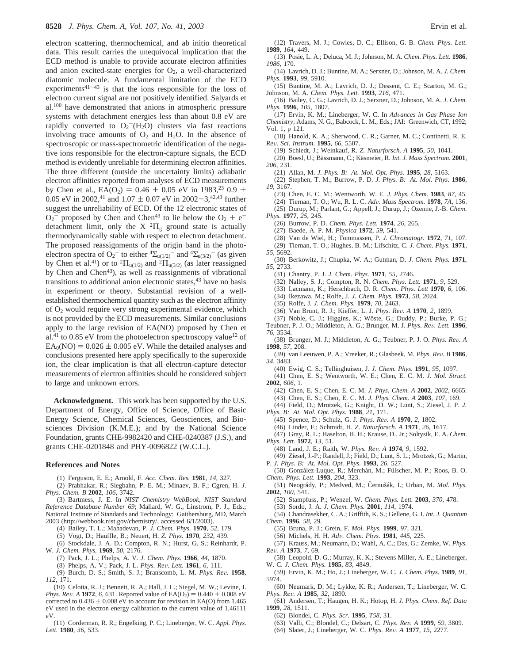electron scattering, thermochemical, and ab initio theoretical data. This result carries the unequivocal implication that the ECD method is unable to provide accurate electron affinities and anion excited-state energies for  $O<sub>2</sub>$ , a well-characterized diatomic molecule. A fundamental limitation of the ECD experiments $41-43$  is that the ions responsible for the loss of electron current signal are not positively identified. Salyards et al.100 have demonstrated that anions in atmospheric pressure systems with detachment energies less than about 0.8 eV are rapidly converted to  $O_2$ <sup>-</sup>(H<sub>2</sub>O) clusters via fast reactions involving trace amounts of  $O_2$  and  $H_2O$ . In the absence of spectroscopic or mass-spectrometric identification of the negative ions responsible for the electron-capture signals, the ECD method is evidently unreliable for determining electron affinities. The three different (outside the uncertainty limits) adiabatic electron affinities reported from analyses of ECD measurements by Chen et al.,  $EA(O_2) = 0.46 \pm 0.05$  eV in 1983,<sup>23</sup> 0.9  $\pm$ 0.05 eV in 2002,<sup>41</sup> and 1.07  $\pm$  0.07 eV in 2002-3,<sup>42,43</sup> further suggest the unreliability of ECD. Of the 12 electronic states of  $O_2$ <sup>-</sup> proposed by Chen and Chen<sup>43</sup> to lie below the  $O_2 + e^{-}$ <br>detachment limit, only the X<sup>2</sup>II ground state is actually detachment limit, only the X  ${}^{2}\Pi_{g}$  ground state is actually thermodynamically stable with respect to electron detachment. The proposed reassignments of the origin band in the photoelectron spectra of O<sub>2</sub><sup>-</sup> to either <sup>4</sup> $\Sigma_{u(1/2)}$ <sup>-</sup> and <sup>4</sup> $\Sigma_{u(3/2)}$ <sup>-</sup> (as given by Chen et al.<sup>41</sup>) or to <sup>2</sup> $\Pi_{u(1/2)}$  and <sup>2</sup> $\Pi_{u(3/2)}$  (as later reassigned by Chen and Chen<sup>43</sup>), as well as reassignments of vibrational transitions to additional anion electronic states,<sup>43</sup> have no basis in experiment or theory. Substantial revision of a wellestablished thermochemical quantity such as the electron affinity of O2 would require very strong experimental evidence, which is not provided by the ECD measurements. Similar conclusions apply to the large revision of EA(NO) proposed by Chen et al.<sup>41</sup> to 0.85 eV from the photoelectron spectroscopy value<sup>12</sup> of  $EA<sub>0</sub>(NO) = 0.026 \pm 0.005$  eV. While the detailed analyses and conclusions presented here apply specifically to the superoxide ion, the clear implication is that all electron-capture detector measurements of electron affinities should be considered subject to large and unknown errors.

**Acknowledgment.** This work has been supported by the U.S. Department of Energy, Office of Science, Office of Basic Energy Science, Chemical Sciences, Geosciences, and Biosciences Division (K.M.E.); and by the National Science Foundation, grants CHE-9982420 and CHE-0240387 (J.S.), and grants CHE-0201848 and PHY-0096822 (W.C.L.).

#### **References and Notes**

(1) Ferguson, E. E.; Arnold, F. *Acc. Chem. Res.* **1981**, *14*, 327.

(2) Prabhakar, R.; Siegbahn, P. E. M.; Minaev, B. F.; Cgren, H. *J. Phys. Chem. B* **2002**, *106*, 3742.

(3) Bartmess, J. E. In *NIST Chemistry WebBook, NIST Standard Reference Database Number 69*; Mallard, W. G., Linstrom, P. J., Eds.; National Institute of Standards and Technology: Gaithersburg, MD, March 2003 (http://webbook.nist.gov/chemistry/, accessed 6/1/2003).

(4) Bailey, T. L.; Mahadevan, P. *J. Chem. Phys.* **1970**, *52*, 179.

(5) Vogt, D.; Hauffle, B.; Neuert, H. *Z. Phys.* **1970**, *232*, 439.

- (6) Stockdale, J. A. D.; Compton, R. N.; Hurst, G. S.; Reinhardt, P. W. *J. Chem. Phys.* **1969**, *50*, 2176.
	- (7) Pack, J. L.; Phelps, A. V. *J. Chem. Phys.* **1966**, *44*, 1870.
	- (8) Phelps, A. V.; Pack, J. L. *Phys. Re*V*. Lett.* **<sup>1961</sup>**, *<sup>6</sup>*, 111.

(9) Burch, D. S.; Smith, S. J.; Branscomb, L. M. *Phys. Re*V*.* **<sup>1958</sup>**, *112*, 171.

(10) Celotta, R. J.; Bennett, R. A.; Hall, J. L.; Siegel, M. W.; Levine, J. *Phys. Rev. A* **1972**, *6*, 631. Reported value of  $EA(O_2) = 0.440 \pm 0.008$  eV corrected to  $0.436 \pm 0.008$  eV to account for revision in EA(O) from 1.465 eV used in the electron energy calibration to the current value of 1.46111 eV.

(11) Corderman, R. R.; Engelking, P. C.; Lineberger, W. C. *Appl. Phys. Lett.* **1980**, *36*, 533.

- (12) Travers, M. J.; Cowles, D. C.; Ellison, G. B. *Chem. Phys. Lett.* **1989**, *164*, 449.
- (13) Posie, L. A.; Deluca, M. J.; Johnson, M. A. *Chem. Phys. Lett.* **1986**, *1986*, 170.
- (14) Lavrich, D. J.; Buntine, M. A.; Serxner, D.; Johnson, M. A. *J. Chem. Phys.* **1993**, *99*, 5910.
- (15) Buntine, M. A.; Lavrich, D. J.; Dessent, C. E.; Scarton, M. G.; Johnson, M. A. *Chem. Phys. Lett.* **1993**, *216*, 471.
- (16) Bailey, C. G.; Lavrich, D. J.; Serxner, D.; Johnson, M. A. *J. Chem. Phys.* **1996**, *105*, 1807.

(17) Ervin, K. M.; Lineberger, W. C. In *Ad*V*ances in Gas Phase Ion Chemistry*; Adams, N. G., Babcock, L. M., Eds.; JAI: Greenwich, CT, 1992; Vol. 1, p 121.

(18) Hanold, K. A.; Sherwood, C. R.; Garner, M. C.; Continetti, R. E. *Re*V*. Sci. Instrum.* **<sup>1995</sup>**, *<sup>66</sup>*, 5507.

(19) Schiedt, J.; Weinkauf, R. *Z. Naturforsch. A* **1995**, *50*, 1041.

- (20) Boesl, U.; Bässmann, C.; Käsmeier, R. *Int. J. Mass Spectrom.* 2001, *206*, 231.
- (21) Allan, M. *J. Phys. B: At. Mol. Opt. Phys.* **1995**, *28*, 5163.

(22) Stephen, T. M.; Burrow, P. D. *J. Phys. B: At. Mol. Phys.* **1986**, *19*, 3167.

(23) Chen, E. C. M.; Wentworth, W. E. *J. Phys. Chem.* **1983**, *87*, 45.

(24) Tiernan, T. O.; Wu, R. L. C. *Ad*V*. Mass Spectrom.* **<sup>1978</sup>**, *7A*, 136. (25) Durup, M.; Parlant, G.; Appell, J.; Durup, J.; Ozenne, J.-B. *Chem.*

- *Phys.* **1977**, *25*, 245.
- (26) Burrow, P. D. *Chem. Phys. Lett.* **1974**, *26*, 265.
- (27) Baede, A. P. M. *Physica* **1972**, *59*, 541.
- (28) Van de Wiel, H.; Tommassen, P. *J. Chromatogr.* **1972**, *71*, 107.
- (29) Tiernan, T. O.; Hughes, B. M.; Lifschitz, C. *J. Chem. Phys.* **1971**, *55*, 5692.
- (30) Berkowitz, J.; Chupka, W. A.; Gutman, D. *J. Chem. Phys.* **1971**, *55*, 2733.
- (31) Chantry, P. J. *J. Chem. Phys.* **1971**, *55*, 2746.
- (32) Nalley, S. J.; Compton, R. N. *Chem. Phys. Lett.* **1971**, *9*, 529.
- (33) Lacmann, K.; Herschbach, D. R. *Chem. Phys. Lett* **1970**, *6*, 106.
- (34) Ikezawa, M.; Rolfe, J. *J. Chem. Phys.* **1973**, *58*, 2024.
- (35) Rolfe, J. *J. Chem. Phys.* **1979**, *70*, 2463.
- 
- (36) Van Brunt, R. J.; Kieffer, L. J. *Phys. Rev. A* **1970**, 2, 1899. (37) Noble, C. J.; Higgins, K.; Wöste, G.; Duddy, P.; Burke, P. G.; Teubner, P. J. O.; Middleton, A. G.; Brunger, M. J. *Phys. Re*V*. Lett.* **<sup>1996</sup>**, *76*, 3534.
- (38) Brunger, M. J.; Middleton, A. G.; Teubner, P. J. O. *Phys. Re*V*. A* **1998**, *57*, 208.
- (39) van Leeuwen, P. A.; Vreeker, R.; Glasbeek, M. *Phys. Re*V*. B* **<sup>1986</sup>**, *34*, 3483.
- (40) Ewig, C. S.; Tellinghuisen, J. *J. Chem. Phys.* **1991**, *95*, 1097.
- (41) Chen, E. S.; Wentworth, W. E.; Chen, E. C. M. *J. Mol. Struct.* **2002**, *606*, 1.
	- (42) Chen, E. S.; Chen, E. C. M. *J. Phys. Chem. A* **2002**, *2002*, 6665.
- (43) Chen, E. S.; Chen, E. C. M. *J. Phys. Chem. A* **2003**, *107*, 169. (44) Field, D.; Mrotzek, G.; Knight, D. W.; Lunt, S.; Ziesel, J. P. *J.*
- *Phys. B: At. Mol. Opt. Phys.* **1988**, *21*, 171.
	- (45) Spence, D.; Schulz, G. J. *Phys. Re*V*. A* **<sup>1970</sup>**, *<sup>2</sup>*, 1802.
	- (46) Linder, F.; Schmidt, H. *Z. Naturforsch. A* **1971**, *26*, 1617.
- (47) Gray, R. L.; Haselton, H. H.; Krause, D., Jr.; Soltysik, E. A. *Chem. Phys. Lett.* **1972**, *13*, 51.
- (48) Land, J. E.; Raith, W. *Phys. Re*V*. A* **<sup>1974</sup>**, *<sup>9</sup>*, 1592.
- (49) Ziesel, J.-P.; Randell, J.; Field, D.; Lunt, S. L.; Mrotzek, G.; Martin, P. *J. Phys. B: At. Mol. Opt. Phys.* **1993**, *26*, 527.
- (50) González-Luque, R.; Merchán, M.; Fülscher, M. P.; Roos, B. O. *Chem. Phys. Lett.* **1993**, *204*, 323.
- (51) Neogrády, P.; Medved, M.; Cernušák, I.; Urban, M. Mol. Phys. **2002**, *100*, 541.
	- (52) Stampfuss, P.; Wenzel, W. *Chem. Phys. Lett.* **2003**, *370*, 478.
	- (53) Sordo, J. A. *J. Chem. Phys.* **2001**, *114*, 1974.
- (54) Chandrasekher, C. A.; Griffith, K. S.; Gellene, G. I. *Int. J. Quantum Chem.* **1996**, *58*, 29.
	- (55) Bruna, P. J.; Grein, F. *Mol. Phys.* **1999**, *97*, 321.
	- (56) Michels, H. H. *Ad*V*. Chem. Phys.* **<sup>1981</sup>**, *<sup>445</sup>*, 225.
- (57) Krauss, M.; Neumann, D.; Wahl, A. C.; Das, G.; Zemke, W. *Phys. Re*V*. A* **<sup>1973</sup>**, *<sup>7</sup>*, 69.
- (58) Leopold, D. G.; Murray, K. K.; Stevens Miller, A. E.; Lineberger, W. C. *J. Chem. Phys.* **1985**, *83*, 4849.
- (59) Ervin, K. M.; Ho, J.; Lineberger, W. C. *J. Chem. Phys.* **1989**, *91*, 5974.
- (60) Neumark, D. M.; Lykke, K. R.; Andersen, T.; Lineberger, W. C. *Phys. Re*V*. A* **<sup>1985</sup>**, *<sup>32</sup>*, 1890.
- (61) Andersen, T.; Haugen, H. K.; Hotop, H. *J. Phys. Chem. Ref. Data* **1999**, *28*, 1511.
	- (62) Blondel, C. *Phys. Scr.* **1995**, *T58*, 31.
	- (63) Valli, C.; Blondel, C.; Delsart, C. *Phys. Re*V*. A* **<sup>1999</sup>**, *<sup>59</sup>*, 3809.
	- (64) Slater, J.; Lineberger, W. C. *Phys. Re*V*. A* **<sup>1977</sup>**, *<sup>15</sup>*, 2277.